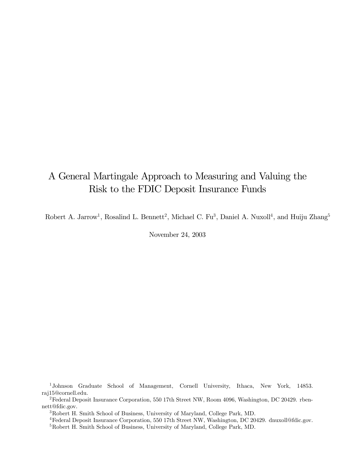# A General Martingale Approach to Measuring and Valuing the Risk to the FDIC Deposit Insurance Funds

Robert A. Jarrow<sup>1</sup>, Rosalind L. Bennett<sup>2</sup>, Michael C. Fu<sup>3</sup>, Daniel A. Nuxoll<sup>4</sup>, and Huiju Zhang<sup>5</sup>

November 24, 2003

1Johnson Graduate School of Management, Cornell University, Ithaca, New York, 14853. raj15@cornell.edu.

<sup>&</sup>lt;sup>2</sup>Federal Deposit Insurance Corporation, 550 17th Street NW, Room 4096, Washington, DC 20429. rbennett@fdic.gov.

<sup>3</sup>Robert H. Smith School of Business, University of Maryland, College Park, MD.

<sup>4</sup>Federal Deposit Insurance Corporation, 550 17th Street NW, Washington, DC 20429. dnuxoll@fdic.gov.

<sup>5</sup>Robert H. Smith School of Business, University of Maryland, College Park, MD.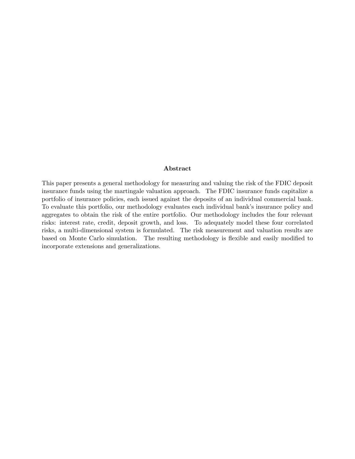#### Abstract

This paper presents a general methodology for measuring and valuing the risk of the FDIC deposit insurance funds using the martingale valuation approach. The FDIC insurance funds capitalize a portfolio of insurance policies, each issued against the deposits of an individual commercial bank. To evaluate this portfolio, our methodology evaluates each individual bank's insurance policy and aggregates to obtain the risk of the entire portfolio. Our methodology includes the four relevant risks: interest rate, credit, deposit growth, and loss. To adequately model these four correlated risks, a multi-dimensional system is formulated. The risk measurement and valuation results are based on Monte Carlo simulation. The resulting methodology is flexible and easily modified to incorporate extensions and generalizations.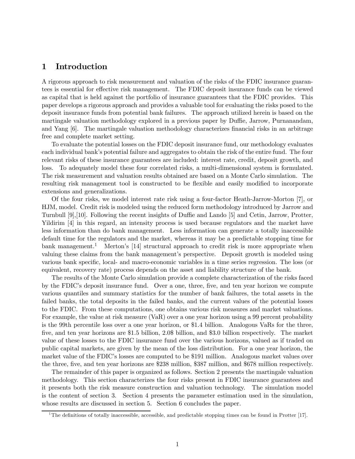### 1 Introduction

A rigorous approach to risk measurement and valuation of the risks of the FDIC insurance guarantees is essential for effective risk management. The FDIC deposit insurance funds can be viewed as capital that is held against the portfolio of insurance guarantees that the FDIC provides. This paper develops a rigorous approach and provides a valuable tool for evaluating the risks posed to the deposit insurance funds from potential bank failures. The approach utilized herein is based on the martingale valuation methodology explored in a previous paper by Duffie, Jarrow, Purnanandam, and Yang [6]. The martingale valuation methodology characterizes financial risks in an arbitrage free and complete market setting.

To evaluate the potential losses on the FDIC deposit insurance fund, our methodology evaluates each individual bank's potential failure and aggregates to obtain the risk of the entire fund. The four relevant risks of these insurance guarantees are included: interest rate, credit, deposit growth, and loss. To adequately model these four correlated risks, a multi-dimensional system is formulated. The risk measurement and valuation results obtained are based on a Monte Carlo simulation. The resulting risk management tool is constructed to be flexible and easily modified to incorporate extensions and generalizations.

Of the four risks, we model interest rate risk using a four-factor Heath-Jarrow-Morton [7], or HJM, model. Credit risk is modeled using the reduced form methodology introduced by Jarrow and Turnbull [9],[10]. Following the recent insights of Duffie and Lando [5] and Cetin, Jarrow, Protter, Yildirim [4] in this regard, an intensity process is used because regulators and the market have less information than do bank management. Less information can generate a totally inaccessible default time for the regulators and the market, whereas it may be a predictable stopping time for bank management.<sup>1</sup> Merton's [14] structural approach to credit risk is more appropriate when valuing these claims from the bank management's perspective. Deposit growth is modeled using various bank specific, local- and macro-economic variables in a time series regression. The loss (or equivalent, recovery rate) process depends on the asset and liability structure of the bank.

The results of the Monte Carlo simulation provide a complete characterization of the risks faced by the FDIC's deposit insurance fund. Over a one, three, five, and ten year horizon we compute various quantiles and summary statistics for the number of bank failures, the total assets in the failed banks, the total deposits in the failed banks, and the current values of the potential losses to the FDIC. From these computations, one obtains various risk measures and market valuations. For example, the value at risk measure (VaR) over a one year horizon using a 99 percent probability is the 99th percentile loss over a one year horizon, or \$1.4 billion. Analogous VaRs for the three, five, and ten year horizons are \$1.5 billion, 2.0\$ billion, and \$3.0 billion respectively. The market value of these losses to the FDIC insurance fund over the various horizons, valued as if traded on public capital markets, are given by the mean of the loss distribution. For a one year horizon, the market value of the FDIC's losses are computed to be \$191 million. Analogous market values over the three, five, and ten year horizons are \$238 million, \$387 million, and \$678 million respectively.

The remainder of this paper is organized as follows. Section 2 presents the martingale valuation methodology. This section characterizes the four risks present in FDIC insurance guarantees and it presents both the risk measure construction and valuation technology. The simulation model is the content of section 3. Section 4 presents the parameter estimation used in the simulation, whose results are discussed in section 5. Section 6 concludes the paper.

<sup>&</sup>lt;sup>1</sup>The definitions of totally inaccessible, accessible, and predictable stopping times can be found in Protter [17].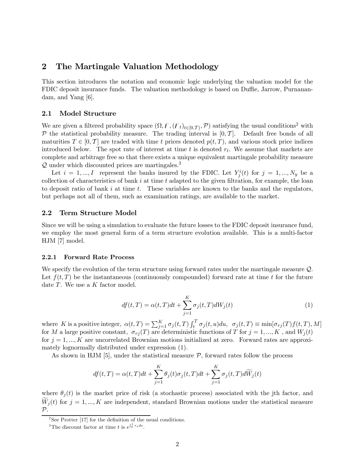### 2 The Martingale Valuation Methodology

This section introduces the notation and economic logic underlying the valuation model for the FDIC deposit insurance funds. The valuation methodology is based on Duffie, Jarrow, Purnanandam, and Yang [6].

#### 2.1 Model Structure

We are given a filtered probability space  $(\Omega, \mathcal{F}, (\mathcal{F}_t)_{t\in[0,T]}, \mathcal{P})$  satisfying the usual conditions<sup>2</sup> with  $\mathcal P$  the statistical probability measure. The trading interval is  $[0, \mathcal T]$ . Default free bonds of all maturities  $T \in [0, T]$  are traded with time t prices denoted  $p(t, T)$ , and various stock price indices introduced below. The spot rate of interest at time  $t$  is denoted  $r_t$ . We assume that markets are complete and arbitrage free so that there exists a unique equivalent martingale probability measure  $\mathcal Q$  under which discounted prices are martingales.<sup>3</sup>

Let  $i = 1, ..., I$  represent the banks insured by the FDIC. Let  $Y_j^i(t)$  for  $j = 1, ..., N_y$  be a collection of characteristics of bank  $i$  at time  $t$  adapted to the given filtration, for example, the loan to deposit ratio of bank  $i$  at time  $t$ . These variables are known to the banks and the regulators, but perhaps not all of them, such as examination ratings, are available to the market.

#### 2.2 Term Structure Model

Since we will be using a simulation to evaluate the future losses to the FDIC deposit insurance fund, we employ the most general form of a term structure evolution available. This is a multi-factor HJM [7] model.

#### 2.2.1 Forward Rate Process

We specify the evolution of the term structure using forward rates under the martingale measure  $\mathcal{Q}$ . Let  $f(t, T)$  be the instantaneous (continuously compounded) forward rate at time t for the future date  $T$ . We use a  $K$  factor model.

$$
df(t,T) = \alpha(t,T)dt + \sum_{j=1}^{K} \sigma_j(t,T)dW_j(t)
$$
\n(1)

where K is a positive integer,  $\alpha(t,T) = \sum_{j=1}^{K} \sigma_j(t,T) \int_t^T \sigma_j(t,u) du$ ,  $\sigma_j(t,T) \equiv \min[\sigma_{rj}(T)f(t,T),M]$ for M a large positive constant,  $\sigma_{rj}(T)$  are deterministic functions of T for  $j = 1, ..., K$ , and  $W_j(t)$ for  $j = 1, ..., K$  are uncorrelated Brownian motions initialized at zero. Forward rates are approximately lognormally distributed under expression (1).

As shown in HJM [5], under the statistical measure  $P$ , forward rates follow the process

$$
df(t,T) = \alpha(t,T)dt + \sum_{j=1}^{K} \theta_j(t)\sigma_j(t,T)dt + \sum_{j=1}^{K} \sigma_j(t,T)d\widetilde{W}_j(t)
$$

where  $\theta_i(t)$  is the market price of risk (a stochastic process) associated with the jth factor, and  $W_j(t)$  for  $j = 1, ..., K$  are independent, standard Brownian motions under the statistical measure  $\mathcal{P}$ .

<sup>&</sup>lt;sup>2</sup>See Protter [17] for the definition of the usual conditions.

<sup>&</sup>lt;sup>3</sup>The discount factor at time t is  $e^{\int_0^t r_s ds}$ .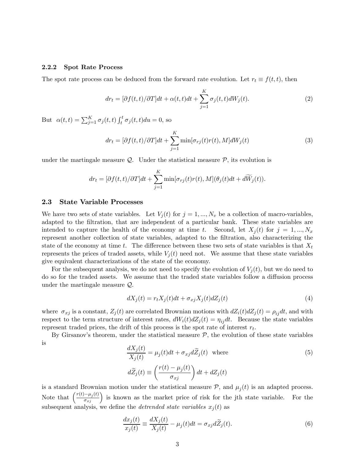#### 2.2.2 Spot Rate Process

The spot rate process can be deduced from the forward rate evolution. Let  $r_t \equiv f(t, t)$ , then

$$
dr_t = [\partial f(t, t)/\partial T]dt + \alpha(t, t)dt + \sum_{j=1}^{K} \sigma_j(t, t)dW_j(t).
$$
\n(2)

But  $\alpha(t,t) = \sum_{j=1}^{K} \sigma_j(t,t) \int_t^t \sigma_j(t,t) du = 0$ , so

$$
dr_t = [\partial f(t, t)/\partial T]dt + \sum_{j=1}^{K} \min[\sigma_{rj}(t)r(t), M]dW_j(t)
$$
\n(3)

under the martingale measure  $\mathcal{Q}$ . Under the statistical measure  $\mathcal{P}$ , its evolution is

$$
dr_t = [\partial f(t,t)/\partial T]dt + \sum_{j=1}^{K} \min[\sigma_{rj}(t)r(t),M](\theta_j(t)dt + d\widetilde{W}_j(t)).
$$

#### 2.3 State Variable Processes

We have two sets of state variables. Let  $V_j(t)$  for  $j = 1, ..., N_v$  be a collection of macro-variables, adapted to the filtration, that are independent of a particular bank. These state variables are intended to capture the health of the economy at time t. Second, let  $X_i(t)$  for  $j = 1, ..., N_x$ represent another collection of state variables, adapted to the filtration, also characterizing the state of the economy at time t. The difference between these two sets of state variables is that  $X_t$ represents the prices of traded assets, while  $V_i(t)$  need not. We assume that these state variables give equivalent characterizations of the state of the economy.

For the subsequent analysis, we do not need to specify the evolution of  $V_i(t)$ , but we do need to do so for the traded assets. We assume that the traded state variables follow a diffusion process under the martingale measure Q.

$$
dX_j(t) = r_t X_j(t)dt + \sigma_{xj} X_j(t) dZ_j(t)
$$
\n
$$
\tag{4}
$$

where  $\sigma_{xj}$  is a constant,  $Z_j(t)$  are correlated Brownian motions with  $dZ_i(t)dZ_j(t) = \rho_{ij}dt$ , and with respect to the term structure of interest rates,  $dW_i(t)dZ_j(t) = \eta_{ij}dt$ . Because the state variables represent traded prices, the drift of this process is the spot rate of interest  $r_t$ .

By Girsanov's theorem, under the statistical measure  $P$ , the evolution of these state variables is

$$
\frac{dX_j(t)}{X_j(t)} = \mu_j(t)dt + \sigma_{xj}d\tilde{Z}_j(t) \text{ where}
$$
\n
$$
d\tilde{Z}_j(t) \equiv \left(\frac{r(t) - \mu_j(t)}{\sigma_{xj}}\right)dt + dZ_j(t)
$$
\n(5)

is a standard Brownian motion under the statistical measure  $P$ , and  $\mu_i(t)$  is an adapted process. Note that  $\left(\frac{r(t)-\mu_j(t)}{\sigma_{xj}}\right)$  is known as the market price of risk for the jth state variable. For the subsequent analysis, we define the *detrended state variables*  $x_j(t)$  as

$$
\frac{dx_j(t)}{x_j(t)} \equiv \frac{dX_j(t)}{X_j(t)} - \mu_j(t)dt = \sigma_{xj}d\widetilde{Z}_j(t).
$$
\n(6)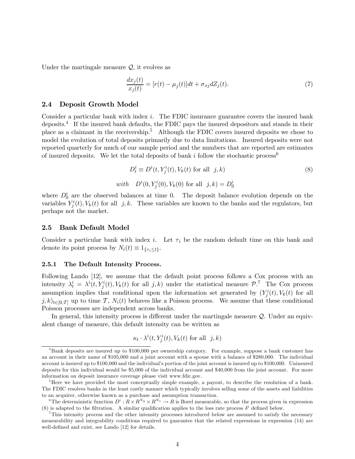Under the martingale measure  $Q$ , it evolves as

$$
\frac{dx_j(t)}{x_j(t)} = [r(t) - \mu_j(t)]dt + \sigma_{xj}dZ_j(t). \tag{7}
$$

#### 2.4 Deposit Growth Model

Consider a particular bank with index  $i$ . The FDIC insurance guarantee covers the insured bank deposits.<sup>4</sup> If the insured bank defaults, the FDIC pays the insured depositors and stands in their place as a claimant in the receivership.<sup>5</sup> Although the FDIC covers insured deposits we chose to model the evolution of total deposits primarily due to data limitations. Insured deposits were not reported quarterly for much of our sample period and the numbers that are reported are estimates of insured deposits. We let the total deposits of bank i follow the stochastic process<sup>6</sup>

$$
D_t^i \equiv D^i(t, Y_j^i(t), V_k(t) \text{ for all } j, k)
$$
  
\nwith 
$$
D^i(0, Y_j^i(0), V_k(0) \text{ for all } j, k) = D_0^i
$$
 (8)

where  $D_0^i$  are the observed balances at time 0. The deposit balance evolution depends on the variables  $Y_j^i(t)$ ,  $V_k(t)$  for all j, k. These variables are known to the banks and the regulators, but perhaps not the market.

#### 2.5 Bank Default Model

Consider a particular bank with index i. Let  $\tau_i$  be the random default time on this bank and denote its point process by  $N_i(t) \equiv 1_{\{\tau_i \leq t\}}$ .

#### 2.5.1 The Default Intensity Process.

Following Lando [12], we assume that the default point process follows a Cox process with an intensity  $\lambda_t^i = \lambda^i(t, Y_j^i(t), V_k(t))$  for all  $j, k$ ) under the statistical measure  $\mathcal{P}^{\mathcal{T}}$ . The Cox process assumption implies that conditional upon the information set generated by  $(Y_j^i(t), V_k(t))$  for all  $j, k$ <sub>t∈[0</sub> $\tau_1$  up to time T,  $N_i(t)$  behaves like a Poisson process. We assume that these conditional Poisson processes are independent across banks.

In general, this intensity process is different under the martingale measure  $\mathcal{Q}$ . Under an equivalent change of measure, this default intensity can be written as

$$
\kappa_t \cdot \lambda^i(t, Y^i_j(t), V_k(t) \text{ for all } j, k)
$$

<sup>4</sup>Bank deposits are insured up to \$100,000 per ownership category. For example, suppose a bank customer has an account in their name of \$105,000 and a joint account with a spouse with a balance of \$280,000. The individual account is insured up to \$100,000 and the individual's portion of the joint account is insured up to \$100,000. Uninsured deposits for this individual would be \$5,000 of the individual account and \$40,000 from the joint account. For more information on deposit insurance coverage please visit www.fdic.gov.

<sup>&</sup>lt;sup>5</sup>Here we have provided the most conceptually simple example, a payout, to describe the resolution of a bank. The FDIC resolves banks in the least costly manner which typically involves selling some of the assets and liabilities to an acquirer, otherwise known as a purchase and assumption transaction.

<sup>&</sup>lt;sup>6</sup>The deterministic function  $D^i: R \times R^{N_y} \times R^{N_v} \to R$  is Borel measurable, so that the process given in expression (8) is adapted to the filtration. A similar qualification applies to the loss rate process  $\delta^i$  defined below.

<sup>7</sup>This intensity process and the other intensity processes introduced below are assumed to satisfy the necessary measurability and integrability conditions required to guarantee that the related expressions in expression (14) are well-defined and exist, see Lando [12] for details.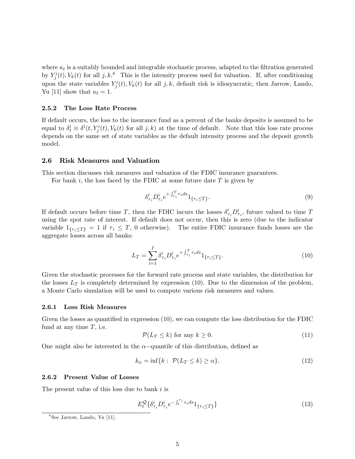where  $\kappa_t$  is a suitably bounded and integrable stochastic process, adapted to the filtration generated by  $Y_j^i(t)$ ,  $V_k(t)$  for all j, k.<sup>8</sup> This is the intensity process used for valuation. If, after conditioning upon the state variables  $Y_j^i(t)$ ,  $V_k(t)$  for all j, k, default risk is idiosyncratic, then Jarrow, Lando, Yu [11] show that  $\kappa_t = 1$ .

#### 2.5.2 The Loss Rate Process

If default occurs, the loss to the insurance fund as a percent of the banks deposits is assumed to be equal to  $\delta_t^i \equiv \delta^i(t, Y_j^i(t), V_k(t))$  for all  $j, k$  at the time of default. Note that this loss rate process depends on the same set of state variables as the default intensity process and the deposit growth model.

#### 2.6 Risk Measures and Valuation

This section discusses risk measures and valuation of the FDIC insurance guarantees.

For bank i, the loss faced by the FDIC at some future date  $T$  is given by

$$
\delta_{\tau_i}^i D_{\tau_i}^i e^{+\int_{\tau_i}^T r_s ds} 1_{\{\tau_i \le T\}}.
$$
\n
$$
(9)
$$

If default occurs before time T, then the FDIC incurs the losses  $\delta^i_{\tau_i} D^i_{\tau_i}$ , future valued to time T using the spot rate of interest. If default does not occur, then this is zero (due to the indicator variable  $1_{\{\tau_i \leq T\}} = 1$  if  $\tau_i \leq T$ , 0 otherwise). The entire FDIC insurance funds losses are the aggregate losses across all banks:

$$
L_T = \sum_{i=1}^{I} \delta_{\tau_i}^i D_{\tau_i}^i e^{+\int_{\tau_i}^T r_s ds} 1_{\{\tau_i \le T\}}.
$$
\n(10)

Given the stochastic processes for the forward rate process and state variables, the distribution for the losses  $L_T$  is completely determined by expression (10). Due to the dimension of the problem, a Monte Carlo simulation will be used to compute various risk measures and values.

#### 2.6.1 Loss Risk Measures

Given the losses as quantified in expression (10), we can compute the loss distribution for the FDIC fund at any time  $T$ , i.e.

$$
\mathcal{P}(L_T \le k) \text{ for any } k \ge 0. \tag{11}
$$

One might also be interested in the  $\alpha$ -quantile of this distribution, defined as

$$
k_{\alpha} = \inf\{k : \mathcal{P}(L_T \le k) \ge \alpha\}.
$$
\n(12)

#### 2.6.2 Present Value of Losses

The present value of this loss due to bank  $i$  is

$$
E_t^{\mathcal{Q}}\{\delta_{\tau_i}^i D_{\tau_i}^i e^{-\int_t^{\tau_i} r_s ds} 1_{\{\tau_i \le T\}}\}\tag{13}
$$

<sup>8</sup>See Jarrow, Lando, Yu [11].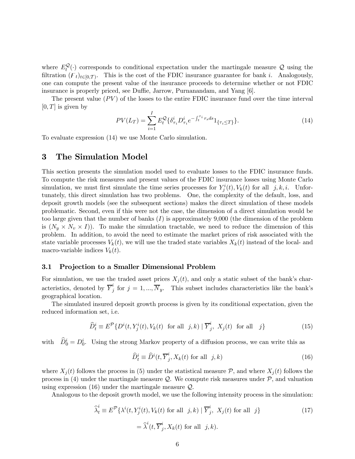where  $E_t^{\mathcal{Q}}(\cdot)$  corresponds to conditional expectation under the martingale measure Q using the filtration  $(F_t)_{t\in[0,T)}$ . This is the cost of the FDIC insurance guarantee for bank i. Analogously, one can compute the present value of the insurance proceeds to determine whether or not FDIC insurance is properly priced, see Duffie, Jarrow, Purnanandam, and Yang [6].

The present value  $(PV)$  of the losses to the entire FDIC insurance fund over the time interval  $[0, T]$  is given by

$$
PV(L_T) = \sum_{i=1}^{I} E_t^{\mathcal{Q}} \{ \delta_{\tau_i}^i D_{\tau_i}^i e^{-\int_t^{\tau_i} r_s ds} 1_{\{\tau_i \le T\}} \}.
$$
 (14)

To evaluate expression (14) we use Monte Carlo simulation.

### 3 The Simulation Model

This section presents the simulation model used to evaluate losses to the FDIC insurance funds. To compute the risk measures and present values of the FDIC insurance losses using Monte Carlo simulation, we must first simulate the time series processes for  $Y^i_j(t)$ ,  $V_k(t)$  for all  $j, k, i$ . Unfortunately, this direct simulation has two problems. One, the complexity of the default, loss, and deposit growth models (see the subsequent sections) makes the direct simulation of these models problematic. Second, even if this were not the case, the dimension of a direct simulation would be too large given that the number of banks  $(I)$  is approximately 9,000 (the dimension of the problem is  $(N_u \times N_v \times I)$ . To make the simulation tractable, we need to reduce the dimension of this problem. In addition, to avoid the need to estimate the market prices of risk associated with the state variable processes  $V_k(t)$ , we will use the traded state variables  $X_k(t)$  instead of the local- and macro-variable indices  $V_k(t)$ .

#### 3.1 Projection to a Smaller Dimensional Problem

For simulation, we use the traded asset prices  $X_j(t)$ , and only a static subset of the bank's characteristics, denoted by  $\overline{Y}_j^i$  for  $j = 1, ..., \overline{N}_y$ . This subset includes characteristics like the bank's geographical location.

The simulated insured deposit growth process is given by its conditional expectation, given the reduced information set, i.e.

$$
\widehat{D}_t^i \equiv E^{\mathcal{P}} \{ D^i(t, Y_j^i(t), V_k(t) \text{ for all } j, k) \mid \overline{Y}_j^i, X_j(t) \text{ for all } j \}
$$
\n
$$
(15)
$$

with  $\hat{D}_0^i = D_0^i$ . Using the strong Markov property of a diffusion process, we can write this as

$$
\widehat{D}_t^i \equiv \widehat{D}^i(t, \overline{Y}_j^i, X_k(t) \text{ for all } j, k)
$$
\n(16)

where  $X_j(t)$  follows the process in (5) under the statistical measure  $P$ , and where  $X_j(t)$  follows the process in (4) under the martingale measure  $\mathcal{Q}$ . We compute risk measures under  $\mathcal{P}$ , and valuation using expression (16) under the martingale measure Q.

Analogous to the deposit growth model, we use the following intensity process in the simulation:

$$
\widehat{\lambda}_t^i \equiv E^{\mathcal{P}} \{ \lambda^i(t, Y_j^i(t), V_k(t) \text{ for all } j, k) \mid \overline{Y}_j^i, X_j(t) \text{ for all } j \}
$$
\n
$$
= \widehat{\lambda}^i(t, \overline{Y}_j^i, X_k(t) \text{ for all } j, k).
$$
\n(17)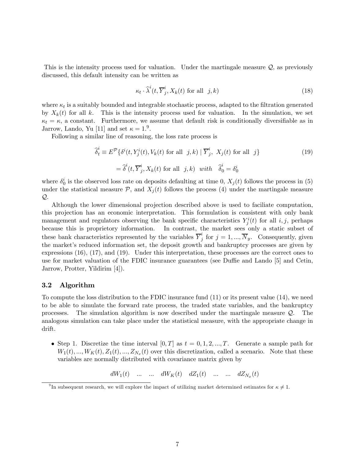This is the intensity process used for valuation. Under the martingale measure  $\mathcal{Q}$ , as previously discussed, this default intensity can be written as

$$
\kappa_t \cdot \widehat{\lambda}^i(t, \overline{Y}^i_j, X_k(t) \text{ for all } j, k)
$$
\n(18)

where  $\kappa_t$  is a suitably bounded and integrable stochastic process, adapted to the filtration generated by  $X_k(t)$  for all k. This is the intensity process used for valuation. In the simulation, we set  $\kappa_t = \kappa$ , a constant. Furthermore, we assume that default risk is conditionally diversifiable as in Jarrow, Lando, Yu [11] and set  $\kappa = 1.9$ .

Following a similar line of reasoning, the loss rate process is

$$
\widehat{\delta}_t^i \equiv E^{\mathcal{P}} \{ \delta^i(t, Y_j^i(t), V_k(t) \text{ for all } j, k) \mid \overline{Y}_j^i, X_j(t) \text{ for all } j \}
$$
\n
$$
= \widehat{\delta}^i(t, \overline{Y}_j^i, X_k(t) \text{ for all } j, k) \text{ with } \widehat{\delta}_0^i = \delta_0^i
$$
\n(19)

where  $\delta_0^i$  is the observed loss rate on deposits defaulting at time 0,  $X_j(t)$  follows the process in (5) under the statistical measure  $P$ , and  $X_j(t)$  follows the process (4) under the martingale measure Q.

Although the lower dimensional projection described above is used to faciliate computation, this projection has an economic interpretation. This formulation is consistent with only bank management and regulators observing the bank specific characteristics  $Y_j^i(t)$  for all  $i, j$ , perhaps because this is proprietory information. In contrast, the market sees only a static subset of these bank characteristics represented by the variables  $\overline{Y}_j^i$  for  $j = 1, ..., \overline{N}_y$ . Consequently, given the market's reduced information set, the deposit growth and bankruptcy processes are given by expressions (16), (17), and (19). Under this interpretation, these processes are the correct ones to use for market valuation of the FDIC insurance guarantees (see Duffie and Lando [5] and Cetin, Jarrow, Protter, Yildirim [4]).

#### 3.2 Algorithm

To compute the loss distribution to the FDIC insurance fund (11) or its present value (14), we need to be able to simulate the forward rate process, the traded state variables, and the bankruptcy processes. The simulation algorithm is now described under the martingale measure Q. The analogous simulation can take place under the statistical measure, with the appropriate change in drift.

• Step 1. Discretize the time interval  $[0, T]$  as  $t = 0, 1, 2, ..., T$ . Generate a sample path for  $W_1(t), ..., W_K(t), Z_1(t), ..., Z_{N_x}(t)$  over this discretization, called a scenario. Note that these variables are normally distributed with covariance matrix given by

 $dW_1(t)$  ... ...  $dW_K(t)$   $dZ_1(t)$  ... ...  $dZ_{N_{\tau}}(t)$ 

<sup>&</sup>lt;sup>9</sup>In subsequent research, we will explore the impact of utilizing market determined estimates for  $\kappa \neq 1$ .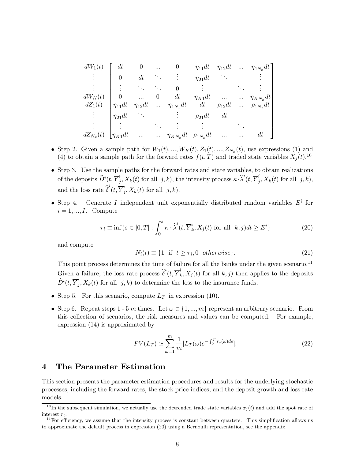$dW_1(t)$ . . . . . .  $dW_K(t)$  $dZ_1(t)$ . . . . . .  $dZ_{N_x}(t)$  $\sqrt{ }$  dt 0 ... 0  $\eta_{11}dt$   $\eta_{12}dt$  ...  $\eta_{1N_x}dt$ 0 dt  $\vdots$   $\eta_{21}dt$  : . . . ... ... <sup>0</sup> . . . ... . . . 0 ... 0 dt  $\eta_{K1}dt$  ... ...  $\eta_{KN_x}dt$  $\eta_{11}dt \quad \eta_{12}dt \quad ... \quad \eta_{1N_x}dt \qquad dt \qquad \rho_{12}dt \quad ... \quad \rho_{1N_x}dt$  $\eta_{21}dt$  :  $\rho_{21}dt$  dt . . . ... . . . . . . ...  $\eta_{K1}dt$  ... ...  $\eta_{KN_x}dt$   $\rho_{1N_x}dt$  ... ... dt 1 

- Step 2. Given a sample path for  $W_1(t), ..., W_K(t), Z_1(t), ..., Z_{N_x}(t)$ , use expressions (1) and (4) to obtain a sample path for the forward rates  $f(t,T)$  and traded state variables  $X_j(t)$ .<sup>10</sup>
- Step 3. Use the sample paths for the forward rates and state variables, to obtain realizations of the deposits  $\widehat{D}^i(t, \overline{Y}^i_j, X_k(t))$  for all  $j, k$ ), the intensity process  $\kappa \cdot \widehat{\lambda}^i(t, \overline{Y}^i_j, X_k(t))$  for all  $j, k$ ), and the loss rate  $\widehat{\delta}^i(t, \overline{Y}^i_j, X_k(t)$  for all  $j, k$ ).
- Step 4. Generate I independent unit exponentially distributed random variables  $E^i$  for  $i = 1, \dots, I$ . Compute

$$
\tau_i \equiv \inf \{ s \in [0, T] : \int_0^s \kappa \cdot \widehat{\lambda}^i(t, \overline{Y}_k^i, X_j(t) \text{ for all } k, j \text{)} dt \ge E^i \}
$$
\n
$$
(20)
$$

and compute

$$
N_i(t) \equiv \{1 \text{ if } t \ge \tau_i, 0 \text{ otherwise}\}. \tag{21}
$$

This point process determines the time of failure for all the banks under the given scenario.<sup>11</sup> Given a failure, the loss rate process  $\hat{\delta}^i(t, \overline{Y}_k^i, X_j(t))$  for all  $k, j$ ) then applies to the deposits  $\widehat{D}^i(t, \overline{Y}^i_j, X_k(t)$  for all  $j, k)$  to determine the loss to the insurance funds.

- Step 5. For this scenario, compute  $L_T$  in expression (10).
- Step 6. Repeat steps 1 5 m times. Let  $\omega \in \{1, ..., m\}$  represent an arbitrary scenario. From this collection of scenarios, the risk measures and values can be computed. For example, expression (14) is approximated by

$$
PV(L_T) \simeq \sum_{\omega=1}^{m} \frac{1}{m} [L_T(\omega)e^{-\int_0^T r_s(\omega)ds}].
$$
\n(22)

### 4 The Parameter Estimation

This section presents the parameter estimation procedures and results for the underlying stochastic processes, including the forward rates, the stock price indices, and the deposit growth and loss rate models.

<sup>&</sup>lt;sup>10</sup>In the subsequent simulation, we actually use the detrended trade state variables  $x_j(t)$  and add the spot rate of interest  $r_t$ .

 $11$  For efficiency, we assume that the intensity process is constant between quarters. This simplification allows us to approximate the default process in expression (20) using a Bernoulli representation, see the appendix.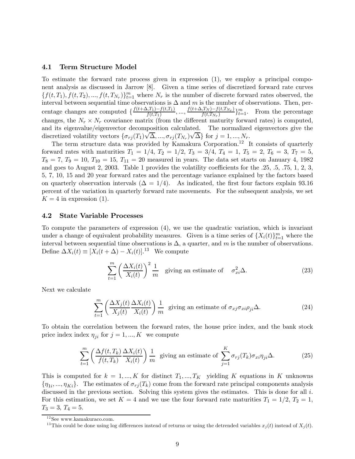#### 4.1 Term Structure Model

To estimate the forward rate process given in expression (1), we employ a principal component analysis as discussed in Jarrow [8]. Given a time series of discretized forward rate curves  $\{f(t,T_1), f(t,T_2),..., f(t,T_{N_r})\}_{t=1}^m$  where  $N_r$  is the number of discrete forward rates observed, the interval between sequential time observations is  $\Delta$  and m is the number of observations. Then, percentage changes are computed  $\{\frac{f(t+\Delta,T_1)-f(t,T_1)}{f(t,T_1)},...,\frac{f(t+\Delta,T_N)-f(t,T_{N_r})}{f(t,T_{N_r})}\}_{t=1}^m$ . From the percentage changes, the  $N_r \times N_r$  covariance matrix (from the different maturity forward rates) is computed, and its eigenvalue/eigenvector decomposition calculated. The normalized eigenvectors give the discretized volatility vectors  $\{\sigma_{rj}(T_1)\sqrt{\Delta}, ..., \sigma_{rj}(T_{N_r})\sqrt{\Delta}\}\$  for  $j = 1, ..., N_r$ .

The term structure data was provided by Kamakura Corporation.<sup>12</sup> It consists of quarterly forward rates with maturities  $T_1 = 1/4$ ,  $T_2 = 1/2$ ,  $T_3 = 3/4$ ,  $T_4 = 1$ ,  $T_5 = 2$ ,  $T_6 = 3$ ,  $T_7 = 5$ ,  $T_8 = 7, T_9 = 10, T_{10} = 15, T_{11} = 20$  measured in years. The data set starts on January 4, 1982 and goes to August 2, 2003. Table 1 provides the volatility coefficients for the .25, .5, .75, 1, 2, 3, 5, 7, 10, 15 and 20 year forward rates and the percentage variance explained by the factors based on quarterly observation intervals  $(\Delta = 1/4)$ . As indicated, the first four factors explain 93.16 percent of the variation in quarterly forward rate movements. For the subsequent analysis, we set  $K = 4$  in expression (1).

#### 4.2 State Variable Processes

To compute the parameters of expression (4), we use the quadratic variation, which is invariant under a change of equivalent probability measures. Given is a time series of  $\{X_i(t)\}_{t=1}^m$  where the interval between sequential time observations is  $\Delta$ , a quarter, and m is the number of observations. Define  $\Delta X_i(t) \equiv [X_i(t+\Delta) - X_i(t)]^{13}$  We compute

$$
\sum_{t=1}^{m} \left( \frac{\Delta X_i(t)}{X_i(t)} \right)^2 \frac{1}{m}
$$
 giving an estimate of  $\sigma_{xi}^2 \Delta$ . (23)

Next we calculate

$$
\sum_{t=1}^{m} \left( \frac{\Delta X_j(t)}{X_j(t)} \frac{\Delta X_i(t)}{X_i(t)} \right) \frac{1}{m}
$$
 giving an estimate of  $\sigma_{xj} \sigma_{xi} \rho_{ji} \Delta$ . (24)

To obtain the correlation between the forward rates, the house price index, and the bank stock price index index  $\eta_{ji}$  for  $j = 1, ..., K$  we compute

$$
\sum_{t=1}^{m} \left( \frac{\Delta f(t, T_k)}{f(t, T_k)} \frac{\Delta X_i(t)}{X_i(t)} \right) \frac{1}{m} \text{ giving an estimate of } \sum_{j=1}^{K} \sigma_{rj}(T_k) \sigma_{xi} \eta_{ji} \Delta. \tag{25}
$$

This is computed for  $k = 1, ..., K$  for distinct  $T_1, ..., T_K$  yielding K equations in K unknowns  ${\eta_{1i}, ..., \eta_{Ki}}$ . The estimates of  $\sigma_{rj}(T_k)$  come from the forward rate principal components analysis discussed in the previous section. Solving this system gives the estimates. This is done for all i. For this estimation, we set  $K = 4$  and we use the four forward rate maturities  $T_1 = 1/2$ ,  $T_2 = 1$ ,  $T_3 = 3, T_4 = 5.$ 

 $^{12}\mathrm{See}$ www.kamakuraco.com.

<sup>&</sup>lt;sup>13</sup>This could be done using log differences instead of returns or using the detrended variables  $x_i(t)$  instead of  $X_i(t)$ .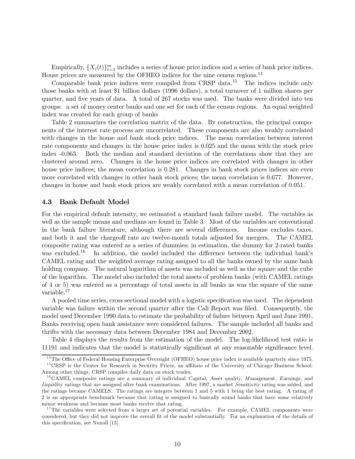Empirically,  $\{X_i(t)\}_{t=1}^m$  includes a series of house price indices and a series of bank price indices. House prices are measured by the OFHEO indices for the nine census regions.<sup>14</sup>

Comparable bank price indices were compiled from CRSP data.<sup>15</sup> The indices include only those banks with at least \$1 billion dollars (1996 dollars), a total turnover of 1 million shares per quarter, and five years of data. A total of 267 stocks was used. The banks were divided into ten groups: a set of money center banks and one set for each of the census regions. An equal weighted index was created for each group of banks

Table 2 summarizes the correlation matrix of the data. By construction, the principal components of the interest rate process are uncorrelated. These components are also weakly correlated with changes in the house and bank stock price indices. The mean correlation between interest rate components and changes in the house price index is 0.025 and the mean with the stock price index -0.063. Both the median and standard deviation of the correlations show that they are clustered around zero. Changes in the house price indices are correlated with changes in other house price indices; the mean correlation is 0.281. Changes in bank stock prices indices are even more correlated with changes in other bank stock prices; the mean correlation is 0.677. However, changes in house and bank stock prices are weakly correlated with a mean correlation of 0.051.

#### 4.3 Bank Default Model

For the empirical default intensity, we estimated a standard bank failure model. The variables as well as the sample means and medians are found in Table 3. Most of the variables are conventional in the bank failure literature, although there are several differences. Income excludes taxes, and both it and the chargeoff rate are twelve-month totals adjusted for mergers. The CAMEL composite rating was entered as a series of dummies; in estimation, the dummy for 2-rated banks was excluded.<sup>16</sup> In addition, the model included the difference between the individual bank's CAMEL rating and the weighted average rating assigned to all the banks owned by the same bank holding company. The natural logarithm of assets was included as well as the square and the cube of the logarithm. The model also included the total assets of problem banks (with CAMEL ratings of 4 or 5) was entered as a percentage of total assets in all banks as was the square of the same variable.17

A pooled time series, cross sectional model with a logistic specification was used. The dependent variable was failure within the second quarter after the Call Report was filed. Consequently, the model used December 1990 data to estimate the probability of failure between April and June 1991. Banks receiving open bank assistance were considered failures. The sample included all banks and thrifts with the necessary data between December 1984 and December 2002.

Table 4 displays the results from the estimation of the model. The log-likelihood test ratio is 11191 and indicates that the model is statistically significant at any reasonable significance level.

 $14$ The Office of Federal Housing Enterprise Oversight (OFHEO) house price index is available quarterly since 1975. <sup>15</sup> CRSP is the Center for Research in Security Prices, an affiliate of the University of Chicago Business School. Among other things, CRSP compiles daily data on stock trades.

 $16$ CAMEL composite ratings are a summary of individual Capital, Asset quality, M anagement, Earnings, and Liquidity ratings that are assigned after bank examinations. After 1997, a market Sensitivity rating was added, and the ratings became CAMELS. The ratings are integers between 1 and 5 with 1 being the best rating. A rating of 2 is an appropriate benchmark because that rating is assigned to basically sound banks that have some relatively minor weakness and because most banks receive that rating.

<sup>&</sup>lt;sup>17</sup>The variables were selected from a larger set of potential variables. For example, CAMEL components were considered, but they did not improve the overall fit of the model substantially. For an explanation of the details of this specification, see Nuxoll [15].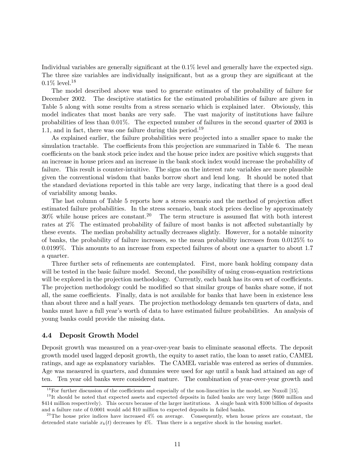Individual variables are generally significant at the 0.1% level and generally have the expected sign. The three size variables are individually insignificant, but as a group they are significant at the  $0.1\%$  level.<sup>18</sup>

The model described above was used to generate estimates of the probability of failure for December 2002. The desciptive statistics for the estimated probabilities of failure are given in Table 5 along with some results from a stress scenario which is explained later. Obviously, this model indicates that most banks are very safe. The vast majority of institutions have failure probabilities of less than 0.01%. The expected number of failures in the second quarter of 2003 is 1.1, and in fact, there was one failure during this period.<sup>19</sup>

As explained earlier, the failure probabilities were projected into a smaller space to make the simulation tractable. The coefficients from this projection are summarized in Table 6. The mean coefficients on the bank stock price index and the house price index are positive which suggests that an increase in house prices and an increase in the bank stock index would increase the probability of failure. This result is counter-intuitive. The signs on the interest rate variables are more plausible given the conventional wisdom that banks borrow short and lend long. It should be noted that the standard deviations reported in this table are very large, indicating that there is a good deal of variability among banks.

The last column of Table 5 reports how a stress scenario and the method of projection affect estimated failure probabilities. In the stress scenario, bank stock prices decline by approximately  $30\%$  while house prices are constant.<sup>20</sup> The term structure is assumed flat with both interest rates at 2% The estimated probability of failure of most banks is not affected substantially by these events. The median probability actually decreases slightly. However, for a notable minority of banks, the probability of failure increases, so the mean probability increases from 0.0125% to 0.0199%. This amounts to an increase from expected failures of about one a quarter to about 1.7 a quarter.

Three further sets of refinements are contemplated. First, more bank holding company data will be tested in the basic failure model. Second, the possibility of using cross-equation restrictions will be explored in the projection methodology. Currently, each bank has its own set of coefficients. The projection methodology could be modified so that similar groups of banks share some, if not all, the same coefficients. Finally, data is not available for banks that have been in existence less than about three and a half years. The projection methodology demands ten quarters of data, and banks must have a full year's worth of data to have estimated failure probabilities. An analysis of young banks could provide the missing data.

#### 4.4 Deposit Growth Model

Deposit growth was measured on a year-over-year basis to eliminate seasonal effects. The deposit growth model used lagged deposit growth, the equity to asset ratio, the loan to asset ratio, CAMEL ratings, and age as explanatory variables. The CAMEL variable was entered as series of dummies. Age was measured in quarters, and dummies were used for age until a bank had attained an age of ten. Ten year old banks were considered mature. The combination of year-over-year growth and

 $^{18}$  For further discussion of the coefficients and especially of the non-linearities in the model, see Nuxoll [15].

 $19$ It should be noted that expected assets and expected deposits in failed banks are very large (\$600 million and \$414 million respectively). This occurs because of the larger institutions. A single bank with \$100 billion of deposits and a failure rate of 0.0001 would add \$10 million to expected deposits in failed banks.

<sup>&</sup>lt;sup>20</sup>The house price indices have increased  $4\%$  on average. Consequently, when house prices are constant, the detrended state variable  $x_k(t)$  decreases by 4%. Thus there is a negative shock in the housing market.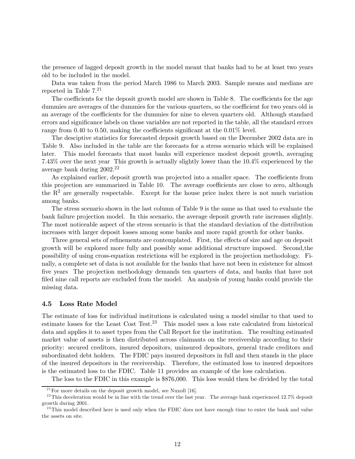the presence of lagged deposit growth in the model meant that banks had to be at least two years old to be included in the model.

Data was taken from the period March 1986 to March 2003. Sample means and medians are reported in Table  $7<sup>21</sup>$ 

The coefficients for the deposit growth model are shown in Table 8. The coefficients for the age dummies are averages of the dummies for the various quarters, so the coefficient for two years old is an average of the coefficients for the dummies for nine to eleven quarters old. Although standard errors and significance labels on those variables are not reported in the table, all the standard errors range from 0.40 to 0.50, making the coefficients significant at the 0.01% level.

The desciptive statistics for forecasted deposit growth based on the December 2002 data are in Table 9. Also included in the table are the forecasts for a stress scenario which will be explained later. This model forecasts that most banks will experience modest deposit growth, averaging 7.43% over the next year This growth is actually slightly lower than the 10.4% experienced by the average bank during 2002.22

As explained earlier, deposit growth was projected into a smaller space. The coefficients from this projection are summarized in Table 10. The average coefficients are close to zero, although the  $R<sup>2</sup>$  are generally respectable. Except for the house price index there is not much variation among banks.

The stress scenario shown in the last column of Table 9 is the same as that used to evaluate the bank failure projection model. In this scenario, the average deposit growth rate increases slightly. The most noticeable aspect of the stress scenario is that the standard deviation of the distribution increases with larger deposit losses among some banks and more rapid growth for other banks.

Three general sets of refinements are contemplated. First, the effects of size and age on deposit growth will be explored more fully and possibly some additional structure imposed. Second,the possibility of using cross-equation restrictions will be explored in the projection methodology. Finally, a complete set of data is not available for the banks that have not been in existence for almost five years The projection methodology demands ten quarters of data, and banks that have not filed nine call reports are excluded from the model. An analysis of young banks could provide the missing data.

#### 4.5 Loss Rate Model

The estimate of loss for individual institutions is calculated using a model similar to that used to estimate losses for the Least Cost Test.23 This model uses a loss rate calculated from historical data and applies it to asset types from the Call Report for the institution. The resulting estimated market value of assets is then distributed across claimants on the receivership according to their priority: secured creditors, insured depositors, uninsured depositors, general trade creditors and subordinated debt holders. The FDIC pays insured depositors in full and then stands in the place of the insured depositors in the receivership. Therefore, the estimated loss to insured depositors is the estimated loss to the FDIC. Table 11 provides an example of the loss calculation.

The loss to the FDIC in this example is \$876,000. This loss would then be divided by the total

 $^{21}$  For more details on the deposit growth model, see Nuxoll [16].

 $^{22}$ This deceleration would be in line with the trend over the last year. The average bank experienced 12.7% deposit growth during 2001.

<sup>&</sup>lt;sup>23</sup>This model described here is used only when the FDIC does not have enough time to enter the bank and value the assets on site.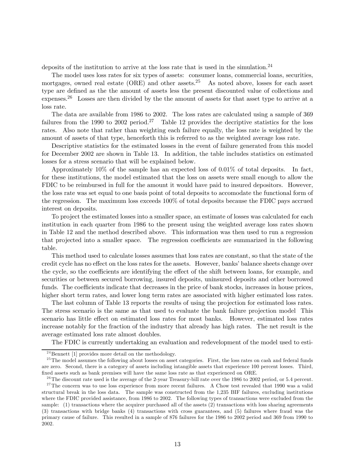deposits of the institution to arrive at the loss rate that is used in the simulation.<sup>24</sup>

The model uses loss rates for six types of assets: consumer loans, commercial loans, securities, mortgages, owned real estate (ORE) and other assets.<sup>25</sup> As noted above, losses for each asset type are defined as the the amount of assets less the present discounted value of collections and expenses.<sup>26</sup> Losses are then divided by the the amount of assets for that asset type to arrive at a loss rate.

The data are available from 1986 to 2002. The loss rates are calculated using a sample of 369 failures from the 1990 to 2002 period.<sup>27</sup> Table 12 provides the decriptive statistics for the loss rates. Also note that rather than weighting each failure equally, the loss rate is weighted by the amount of assets of that type, henceforth this is referred to as the weighted average loss rate.

Descriptive statistics for the estimated losses in the event of failure generated from this model for December 2002 are shown in Table 13. In addition, the table includes statistics on estimated losses for a stress scenario that will be explained below.

Approximately 10% of the sample has an expected loss of 0.01% of total deposits. In fact, for these institutions, the model estimated that the loss on assets were small enough to allow the FDIC to be reimbursed in full for the amount it would have paid to insured depositors. However, the loss rate was set equal to one basis point of total deposits to accomodate the functional form of the regression. The maximum loss exceeds 100% of total deposits because the FDIC pays accrued interest on deposits.

To project the estimated losses into a smaller space, an estimate of losses was calculated for each institution in each quarter from 1986 to the present using the weighted average loss rates shown in Table 12 and the method described above. This information was then used to run a regression that projected into a smaller space. The regression coefficients are summarized in the following table.

This method used to calculate losses assumes that loss rates are constant, so that the state of the credit cycle has no effect on the loss rates for the assets. However, banks' balance sheets change over the cycle, so the coefficients are identifying the effect of the shift between loans, for example, and securities or between secured borrowing, insured deposits, uninsured deposits and other borrowed funds. The coefficients indicate that decreases in the price of bank stocks, increases in house prices, higher short term rates, and lower long term rates are associated with higher estimated loss rates.

The last column of Table 13 reports the results of using the projection for estimated loss rates. The stress scenario is the same as that used to evaluate the bank failure projection model This scenario has little effect on estimated loss rates for most banks. However, estimated loss rates increase notably for the fraction of the industry that already has high rates. The net result is the average estimated loss rate almost doubles.

The FDIC is currently undertaking an evaluation and redevelopment of the model used to esti-

<sup>&</sup>lt;sup>24</sup>Bennett [1] provides more detail on the methodology.

 $^{25}$ The model assumes the following about losses on asset categories. First, the loss rates on cash and federal funds are zero. Second, there is a category of assets including intangible assets that experience 100 percent losses. Third, fixed assets such as bank premises will have the same loss rate as that experienced on ORE.

 $^{26}$ The discount rate used is the average of the 2-year Treasury-bill rate over the 1986 to 2002 period, or 5.4 percent.  $27$ The concern was to use loss experience from more recent failures. A Chow test revealed that 1990 was a valid structural break in the loss data. The sample was constructed from the 1,235 BIF failures, excluding institutions where the FDIC provided assistance, from 1986 to 2002. The following types of transactions were excluded from the sample: (1) transactions where the acquirer purchased all of the assets (2) transactions with loss sharing agreements (3) transactions with bridge banks (4) transactions with cross guarantees, and (5) failures where fraud was the primary cause of failure. This resulted in a sample of 876 failures for the 1986 to 2002 period and 369 from 1990 to 2002.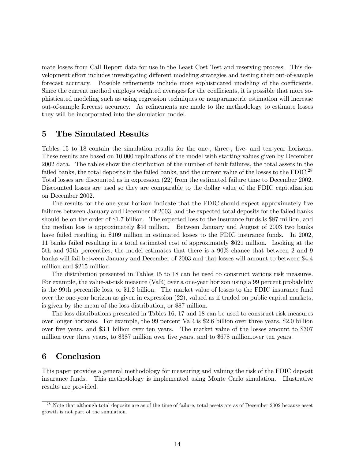mate losses from Call Report data for use in the Least Cost Test and reserving process. This development effort includes investigating different modeling strategies and testing their out-of-sample forecast accuracy. Possible refinements include more sophisticated modeling of the coefficients. Since the current method employs weighted averages for the coefficients, it is possible that more sophisticated modeling such as using regression techniques or nonparametric estimation will increase out-of-sample forecast accuracy. As refinements are made to the methodology to estimate losses they will be incorporated into the simulation model.

### 5 The Simulated Results

Tables 15 to 18 contain the simulation results for the one-, three-, five- and ten-year horizons. These results are based on 10,000 replications of the model with starting values given by December 2002 data. The tables show the distribution of the number of bank failures, the total assets in the failed banks, the total deposits in the failed banks, and the current value of the losses to the FDIC.<sup>28</sup> Total losses are discounted as in expression (22) from the estimated failure time to December 2002. Discounted losses are used so they are comparable to the dollar value of the FDIC capitalization on December 2002.

The results for the one-year horizon indicate that the FDIC should expect approximately five failures between January and December of 2003, and the expected total deposits for the failed banks should be on the order of \$1.7 billion. The expected loss to the insurance funds is \$87 million, and the median loss is approximately \$44 million. Between January and August of 2003 two banks have failed resulting in \$109 million in estimated losses to the FDIC insurance funds. In 2002, 11 banks failed resulting in a total estimated cost of approximately \$621 million. Looking at the 5th and 95th percentiles, the model estimates that there is a 90% chance that between 2 and 9 banks will fail between January and December of 2003 and that losses will amount to between \$4.4 million and \$215 million.

The distribution presented in Tables 15 to 18 can be used to construct various risk measures. For example, the value-at-risk measure (VaR) over a one-year horizon using a 99 percent probability is the 99th percentile loss, or \$1.2 billion. The market value of losses to the FDIC insurance fund over the one-year horizon as given in expression (22), valued as if traded on public capital markets, is given by the mean of the loss distribution, or \$87 million.

The loss distributions presented in Tables 16, 17 and 18 can be used to construct risk measures over longer horizons. For example, the 99 percent VaR is \$2.6 billion over three years, \$2.0 billion over five years, and \$3.1 billion over ten years. The market value of the losses amount to \$307 million over three years, to \$387 million over five years, and to \$678 million.over ten years.

### 6 Conclusion

This paper provides a general methodology for measuring and valuing the risk of the FDIC deposit insurance funds. This methodology is implemented using Monte Carlo simulation. Illustrative results are provided.

 $^{28}$  Note that although total deposits are as of the time of failure, total assets are as of December 2002 because asset growth is not part of the simulation.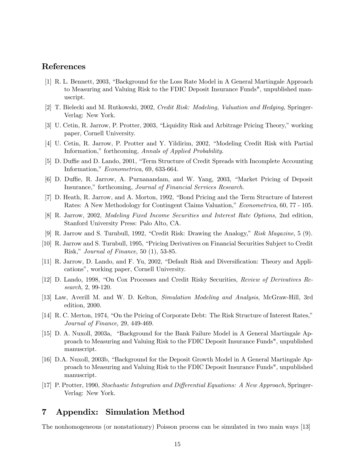### References

- [1] R. L. Bennett, 2003, "Background for the Loss Rate Model in A General Martingale Approach to Measuring and Valuing Risk to the FDIC Deposit Insurance Funds", unpublished manuscript.
- [2] T. Bielecki and M. Rutkowski, 2002, Credit Risk: Modeling, Valuation and Hedging, Springer-Verlag: New York.
- [3] U. Cetin, R. Jarrow, P. Protter, 2003, "Liquidity Risk and Arbitrage Pricing Theory," working paper, Cornell University.
- [4] U. Cetin, R. Jarrow, P. Protter and Y. Yildirim, 2002, "Modeling Credit Risk with Partial Information," forthcoming, Annals of Applied Probability.
- [5] D. Duffie and D. Lando, 2001, "Term Structure of Credit Spreads with Incomplete Accounting Information," Econometrica, 69, 633-664.
- [6] D. Duffie, R. Jarrow, A. Purnanandam, and W. Yang, 2003, "Market Pricing of Deposit Insurance," forthcoming, Journal of Financial Services Research.
- [7] D. Heath, R. Jarrow, and A. Morton, 1992, "Bond Pricing and the Term Structure of Interest Rates: A New Methodology for Contingent Claims Valuation," Econometrica, 60, 77 - 105.
- [8] R. Jarrow, 2002, Modeling Fixed Income Securities and Interest Rate Options, 2nd edition, Stanford University Press: Palo Alto, CA.
- [9] R. Jarrow and S. Turnbull, 1992, "Credit Risk: Drawing the Analogy," Risk Magazine, 5 (9).
- [10] R. Jarrow and S. Turnbull, 1995, "Pricing Derivatives on Financial Securities Subject to Credit Risk," Journal of Finance, 50 (1), 53-85.
- [11] R. Jarrow, D. Lando, and F. Yu, 2002, "Default Risk and Diversification: Theory and Applications", working paper, Cornell University.
- [12] D. Lando, 1998, "On Cox Processes and Credit Risky Securities, Review of Derivatives Research, 2, 99-120.
- [13] Law, Averill M. and W. D. Kelton, Simulation Modeling and Analysis, McGraw-Hill, 3rd edition, 2000.
- [14] R. C. Merton, 1974, "On the Pricing of Corporate Debt: The Risk Structure of Interest Rates," Journal of Finance, 29, 449-469.
- [15] D. A. Nuxoll, 2003a, "Background for the Bank Failure Model in A General Martingale Approach to Measuring and Valuing Risk to the FDIC Deposit Insurance Funds", unpublished manuscript.
- [16] D.A. Nuxoll, 2003b, "Background for the Deposit Growth Model in A General Martingale Approach to Measuring and Valuing Risk to the FDIC Deposit Insurance Funds", unpublished manuscript.
- [17] P. Protter, 1990, Stochastic Integration and Differential Equations: A New Approach, Springer-Verlag: New York.

### 7 Appendix: Simulation Method

The nonhomogeneous (or nonstationary) Poisson process can be simulated in two main ways [13]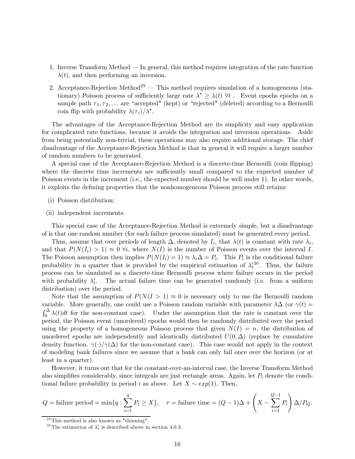- 1. Inverse Transform Method In general, this method requires integration of the rate function  $\lambda(t)$ , and then performing an inversion.
- 2. Acceptance-Rejection Method<sup>29</sup> This method requires simulation of a homogeneous (stationary) Poisson process of sufficiently large rate  $\lambda^* \geq \lambda(t)$   $\forall t$ . Event epochs epochs on a sample path  $\tau_1, \tau_2, \ldots$  are "accepted" (kept) or "rejected" (deleted) according to a Bernoulli coin flip with probability  $\lambda(\tau_i)/\lambda^*$ .

The advantages of the Acceptance-Rejection Method are its simplicity and easy application for complicated rate functions, because it avoids the integration and inversion operations. Aside from being potentially non-trivial, these operations may also require additional storage. The chief disadvantage of the Acceptance-Rejection Method is that in general it will require a larger number of random numbers to be generated.

A special case of the Acceptance-Rejection Method is a discrete-time Bernoulli (coin flipping) where the discrete time increments are sufficiently small compared to the expected number of Poisson events in the increment (i.e., the expected number should be well under 1). In other words, it exploits the defining properties that the nonhomogeneous Poisson process still retains:

- (i) Poisson distribution;
- (ii) independent increments.

This special case of the Acceptance-Rejection Method is extremely simple, but a disadvantage of is that one random number (for each failure process simulated) must be generated every period.

Thus, assume that over periods of length  $\Delta$ , denoted by  $I_i$ , that  $\lambda(t)$  is constant with rate  $\lambda_i$ , and that  $P(N(I_i) > 1) \approx 0 \forall i$ , where  $N(I)$  is the number of Poisson events over the interval I. The Poisson assumption then implies  $P(N(I_i) = 1) \approx \lambda_i \Delta = P_i$ . This  $P_i$  is the conditional failure probability in a quarter that is provided by the empirical estimation of  $\lambda_t^{i30}$ . Thus, the failure process can be simulated as a discrete-time Bernoulli process where failure occurs in the period with probability  $\lambda_t^i$ . The actual failure time can be generated randomly (i.e. from a uniform distribution) over the period.

Note that the assumption of  $P(N(I > 1) \approx 0$  is necessary only to use the Bernoulli random variable. More generally, one could use a Poisson random variable with parameter  $\lambda\Delta$  (or  $\gamma(t)$  =  $\int_0^{\Delta} \lambda(t) dt$  for the non-constant case). Under the assumption that the rate is constant over the period, the Poisson event (unordered) epochs would then be randomly distributed over the period using the property of a homogeneous Poisson process that given  $N(I) = n$ , the distribution of unordered epochs are independently and identically distributed  $U(0, \Delta)$  (replace by cumulative density function.  $\gamma(\cdot)/\gamma(\Delta)$  for the non-constant case). This case would not apply in the context of modeling bank failures since we assume that a bank can only fail once over the horizon (or at least in a quarter).

However, it turns out that for the constant-over-an-interval case, the Inverse Transform Method also simplifies considerably, since integrals are just rectangle areas. Again, let  $P_i$  denote the conditional failure probability in period *i* as above. Let  $X \sim exp(1)$ . Then,

$$
Q = \text{failure period} = \min\{q : \sum_{i=1}^{q} P_i \ge X\}, \quad \tau = \text{failure time} = (Q - 1)\Delta + \left(X - \sum_{i=1}^{Q-1} P_i\right)\Delta/P_Q.
$$

 $29$ This method is also known as "thinning".

<sup>&</sup>lt;sup>30</sup>The estimation of  $\lambda_t^i$  is described above in section 4.0.3.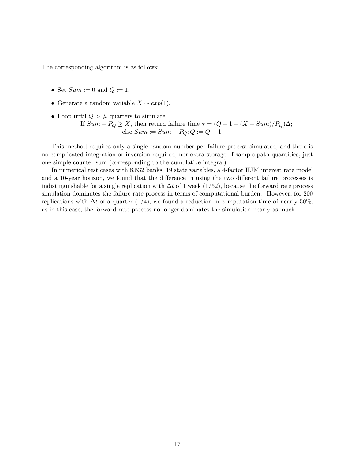The corresponding algorithm is as follows:

- Set  $Sum := 0$  and  $Q := 1$ .
- Generate a random variable  $X \sim exp(1)$ .
- Loop until  $Q > #$  quarters to simulate: If  $Sum + PQ \geq X$ , then return failure time  $\tau = (Q - 1 + (X - Sum)/P_Q)\Delta$ ; else  $Sum := Sum + PQ; Q := Q + 1.$

This method requires only a single random number per failure process simulated, and there is no complicated integration or inversion required, nor extra storage of sample path quantities, just one simple counter sum (corresponding to the cumulative integral).

In numerical test cases with 8,532 banks, 19 state variables, a 4-factor HJM interest rate model and a 10-year horizon, we found that the difference in using the two different failure processes is indistinguishable for a single replication with  $\Delta t$  of 1 week (1/52), because the forward rate process simulation dominates the failure rate process in terms of computational burden. However, for 200 replications with  $\Delta t$  of a quarter (1/4), we found a reduction in computation time of nearly 50%, as in this case, the forward rate process no longer dominates the simulation nearly as much.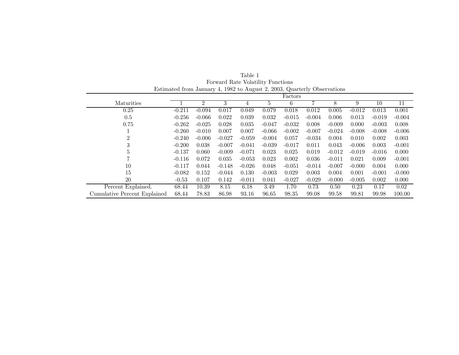|                              | Estimated from January 4, 1982 to August 2, 2005, Quarterly Observations |                |          |          |          |          |          |          |          |          |          |
|------------------------------|--------------------------------------------------------------------------|----------------|----------|----------|----------|----------|----------|----------|----------|----------|----------|
|                              |                                                                          |                |          |          |          | Factors  |          |          |          |          |          |
| Maturities                   |                                                                          | $\overline{2}$ | 3        | 4        | 5        | 6        |          | 8        | 9        | 10       | 11       |
| 0.25                         | $-0.211$                                                                 | $-0.094$       | 0.017    | 0.049    | 0.079    | 0.018    | 0.012    | 0.005    | $-0.012$ | 0.013    | 0.001    |
| 0.5                          | $-0.256$                                                                 | $-0.066$       | 0.022    | 0.039    | 0.032    | $-0.015$ | $-0.004$ | 0.006    | 0.013    | $-0.019$ | $-0.004$ |
| 0.75                         | $-0.262$                                                                 | $-0.025$       | 0.028    | 0.035    | $-0.047$ | $-0.032$ | 0.008    | $-0.009$ | 0.000    | $-0.003$ | 0.008    |
|                              | $-0.260$                                                                 | $-0.010$       | 0.007    | 0.007    | $-0.066$ | $-0.002$ | $-0.007$ | $-0.024$ | $-0.008$ | $-0.008$ | $-0.006$ |
| 2                            | $-0.240$                                                                 | $-0.006$       | $-0.027$ | $-0.059$ | $-0.004$ | 0.057    | $-0.034$ | 0.004    | 0.010    | 0.002    | 0.003    |
| 3                            | $-0.200$                                                                 | 0.038          | $-0.007$ | $-0.041$ | $-0.039$ | $-0.017$ | 0.011    | 0.043    | $-0.006$ | 0.003    | $-0.001$ |
| 5                            | $-0.137$                                                                 | 0.060          | $-0.009$ | $-0.071$ | 0.023    | 0.025    | 0.019    | $-0.012$ | $-0.019$ | $-0.016$ | 0.000    |
|                              | $-0.116$                                                                 | 0.072          | 0.035    | $-0.053$ | 0.023    | 0.002    | 0.036    | $-0.011$ | 0.021    | 0.009    | $-0.001$ |
| 10                           | $-0.117$                                                                 | 0.044          | $-0.148$ | $-0.026$ | 0.048    | $-0.051$ | $-0.014$ | $-0.007$ | $-0.000$ | 0.004    | 0.000    |
| 15                           | $-0.082$                                                                 | 0.152          | $-0.044$ | 0.130    | $-0.003$ | 0.029    | 0.003    | 0.004    | 0.001    | $-0.001$ | $-0.000$ |
| 20                           | $-0.53$                                                                  | 0.107          | 0.142    | $-0.011$ | 0.041    | $-0.027$ | $-0.029$ | $-0.000$ | $-0.005$ | 0.002    | 0.000    |
| Percent Explained.           | 68.44                                                                    | 10.39          | 8.15     | 6.18     | 3.49     | 1.70     | 0.73     | 0.50     | 0.23     | 0.17     | 0.02     |
| Cumulative Percent Explained | 68.44                                                                    | 78.83          | 86.98    | 93.16    | 96.65    | 98.35    | 99.08    | 99.58    | 99.81    | 99.98    | 100.00   |

Table 1 Forward Rate Volatility Functions Estimated from January 4, 1982 to August 2, 2003, Quarterly Observations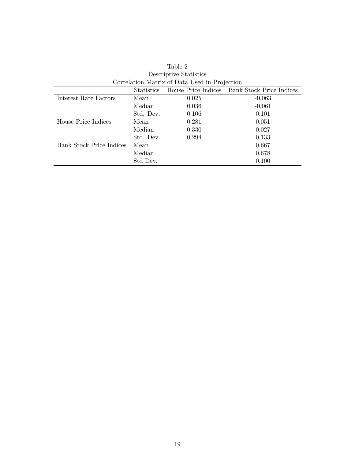|                          | <b>Statistics</b> |       | House Price Indices Bank Stock Price Indices |
|--------------------------|-------------------|-------|----------------------------------------------|
| Interest Rate Factors    | Mean              | 0.025 | $-0.063$                                     |
|                          | Median            | 0.036 | $-0.061$                                     |
|                          | Std. Dev.         | 0.106 | 0.101                                        |
| House Price Indices      | Mean              | 0.281 | 0.051                                        |
|                          | Median            | 0.330 | 0.027                                        |
|                          | Std. Dev.         | 0.294 | 0.133                                        |
| Bank Stock Price Indices | Mean              |       | 0.667                                        |
|                          | Median            |       | 0.678                                        |
|                          | Std Dev.          |       | 0.100                                        |

Table 2 Descriptive Statistics Correlation Matrix of Data Used in Projection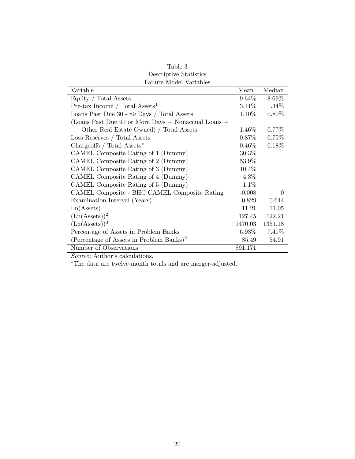| таните мочет уапаркъ                                    |          |          |
|---------------------------------------------------------|----------|----------|
| Variable                                                | Mean     | Median   |
| Equity / Total Assets                                   | $9.64\%$ | 8.69%    |
| Pre-tax Income / Total Assets*                          | $3.11\%$ | 1.34%    |
| Loans Past Due 30 - 89 Days / Total Assets              | $1.10\%$ | $0.80\%$ |
| (Loans Past Due 90 or More Days $+$ Nonaccual Loans $+$ |          |          |
| Other Real Estate Owned) / Total Assets                 | $1.46\%$ | $0.77\%$ |
| Loss Reserves / Total Assets                            | $0.87\%$ | $0.75\%$ |
| Chargeoffs / Total Assets*                              | $0.46\%$ | 0.18%    |
| CAMEL Composite Rating of 1 (Dummy)                     | $30.3\%$ |          |
| CAMEL Composite Rating of 2 (Dummy)                     | 53.9%    |          |
| CAMEL Composite Rating of 3 (Dummy)                     | 10.4%    |          |
| CAMEL Composite Rating of 4 (Dummy)                     | $4.3\%$  |          |
| CAMEL Composite Rating of 5 (Dummy)                     | 1.1%     |          |
| CAMEL Composite - BHC CAMEL Composite Rating            | $-0.008$ | $\Omega$ |
| Examination Interval (Years)                            | 0.829    | 0.644    |
| Ln(A <sub>s</sub> )                                     | 11.21    | 11.05    |
| $(Ln(A{\text{ssets}}))^2$                               | 127.45   | 122.21   |
| $(Ln(A{\text{sets}}))^3$                                | 1470.03  | 1351.18  |
| Percentage of Assets in Problem Banks                   | $6.93\%$ | 7.41%    |
| (Percentage of Assets in Problem Banks) <sup>2</sup>    | 85.49    | 54.91    |
| Number of Observations                                  | 891,171  |          |

| Table 3                 |
|-------------------------|
| Descriptive Statistics  |
| Failure Model Variables |

Source: Author's calculations.

∗The data are twelve-month totals and are merger-adjusted.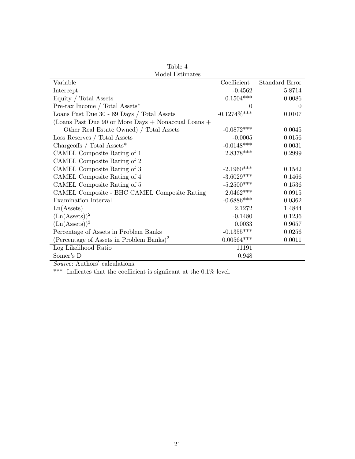| мючет прешисер                                       |                   |                |
|------------------------------------------------------|-------------------|----------------|
| Variable                                             | Coefficient       | Standard Error |
| Intercept                                            | $-0.4562$         | 5.8714         |
| Equity / Total Assets                                | $0.1504***$       | 0.0086         |
| Pre-tax Income / Total Assets*                       | $\Omega$          | $\theta$       |
| Loans Past Due 30 - 89 Days / Total Assets           | $-0.1274\%^{***}$ | 0.0107         |
| (Loans Past Due 90 or More Days + Nonaccual Loans +  |                   |                |
| Other Real Estate Owned) / Total Assets              | $-0.0872***$      | 0.0045         |
| Loss Reserves / Total Assets                         | $-0.0005$         | 0.0156         |
| Chargeoffs / Total $\text{Assets}^*$                 | $-0.0148***$      | 0.0031         |
| CAMEL Composite Rating of 1                          | 2.8378***         | 0.2999         |
| CAMEL Composite Rating of 2                          |                   |                |
| CAMEL Composite Rating of 3                          | $-2.1960***$      | 0.1542         |
| CAMEL Composite Rating of 4                          | $-3.6029***$      | 0.1466         |
| CAMEL Composite Rating of 5                          | $-5.2500***$      | 0.1536         |
| CAMEL Composite - BHC CAMEL Composite Rating         | $2.0462***$       | 0.0915         |
| Examination Interval                                 | $-0.6886***$      | 0.0362         |
| Ln(A <sub>s</sub> )                                  | 2.1272            | 1.4844         |
| $(Ln(A{\text{ssets}}))^2$                            | $-0.1480$         | 0.1236         |
| $(Ln(A{\text{sets}}))^3$                             | 0.0033            | 0.9657         |
| Percentage of Assets in Problem Banks                | $-0.1355***$      | 0.0256         |
| (Percentage of Assets in Problem Banks) <sup>2</sup> | $0.00564***$      | 0.0011         |
| Log Likelihood Ratio                                 | 11191             |                |
| Somer's D                                            | 0.948             |                |

Table 4 Model Estimates

Source: Authors' calculations.

 $\rm***$  Indicates that the coefficient is signficant at the 0.1% level.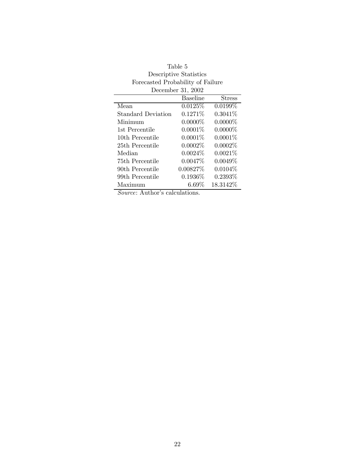|                    | December 31, 2002 |            |
|--------------------|-------------------|------------|
|                    | <b>Baseline</b>   | Stress     |
| Mean               | 0.0125%           | 0.0199%    |
| Standard Deviation | $0.1271\%$        | $0.3041\%$ |
| Minimum            | $0.0000\%$        | $0.0000\%$ |
| 1st Percentile     | $0.0001\%$        | $0.0000\%$ |
| 10th Percentile    | $0.0001\%$        | $0.0001\%$ |
| 25th Percentile    | $0.0002\%$        | 0.0002%    |
| Median             | $0.0024\%$        | $0.0021\%$ |
| 75th Percentile    | $0.0047\%$        | $0.0049\%$ |
| 90th Percentile    | $0.00827\%$       | $0.0104\%$ |
| 99th Percentile    | $0.1936\%$        | $0.2393\%$ |
| Maximum            | $6.69\%$          | 18.3142\%  |

| Table 5                           |
|-----------------------------------|
| Descriptive Statistics            |
| Forecasted Probability of Failure |
| Dogombor $21,9009$                |

Source: Author's calculations.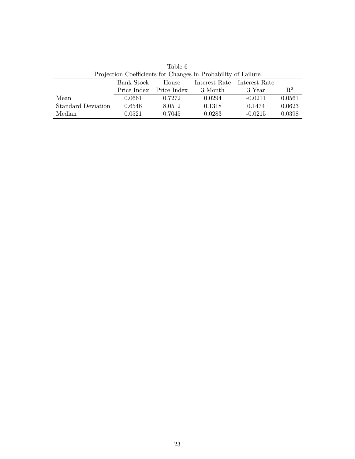|                           |            |                         | r rojection Coemcients for Changes in Frobability of Failure |                             |        |
|---------------------------|------------|-------------------------|--------------------------------------------------------------|-----------------------------|--------|
|                           | Bank Stock | House                   |                                                              | Interest Rate Interest Rate |        |
|                           |            | Price Index Price Index | 3 Month                                                      | 3 Year                      | $R^2$  |
| Mean                      | 0.0661     | 0.7272                  | 0.0294                                                       | $-0.0211$                   | 0.0561 |
| <b>Standard Deviation</b> | 0.6546     | 8.0512                  | 0.1318                                                       | 0.1474                      | 0.0623 |
| Median                    | 0.0521     | 0.7045                  | 0.0283                                                       | $-0.0215$                   | 0.0398 |

Table 6 Projection Coefficients for Changes in Probability of Failure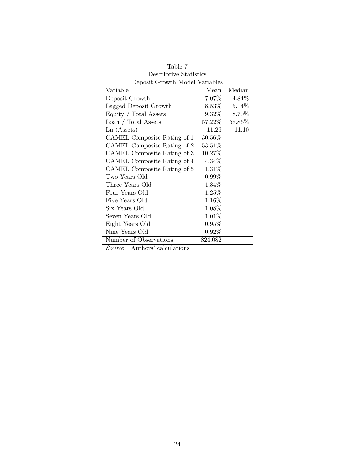| Deposit Growth Moder variables |           |        |
|--------------------------------|-----------|--------|
| Variable                       | Mean      | Median |
| Deposit Growth                 | $7.07\%$  | 4.84%  |
| Lagged Deposit Growth          | $8.53\%$  | 5.14%  |
| Equity / Total Assets          | $9.32\%$  | 8.70%  |
| Loan / Total Assets            | $57.22\%$ | 58.86% |
| Ln (Assets)                    | 11.26     | 11.10  |
| CAMEL Composite Rating of 1    | 30.56\%   |        |
| CAMEL Composite Rating of 2    | 53.51%    |        |
| CAMEL Composite Rating of 3    | 10.27%    |        |
| CAMEL Composite Rating of 4    | 4.34\%    |        |
| CAMEL Composite Rating of 5    | $1.31\%$  |        |
| Two Years Old                  | $0.99\%$  |        |
| Three Years Old                | $1.34\%$  |        |
| Four Years Old                 | $1.25\%$  |        |
| Five Years Old                 | $1.16\%$  |        |
| Six Years Old                  | 1.08%     |        |
| Seven Years Old                | 1.01%     |        |
| Eight Years Old                | $0.95\%$  |        |
| Nine Years Old                 | $0.92\%$  |        |
| Number of Observations         | 824,082   |        |

Table 7 Descriptive Statistics Deposit Growth Model Variables

Source: Authors' calculations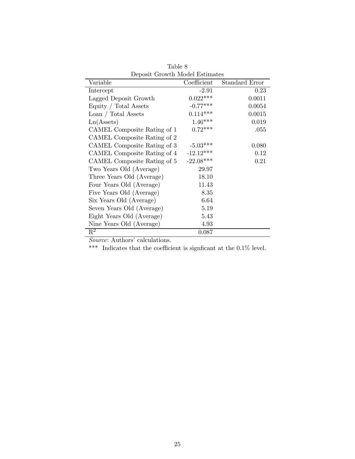| Variable                    | Coefficient | Standard Error |
|-----------------------------|-------------|----------------|
| Intercept                   | $-2.91$     | 0.23           |
| Lagged Deposit Growth       | $0.022***$  | 0.0011         |
| Equity / Total Assets       | $-0.77***$  | 0.0054         |
| Loan / Total Assets         | $0.114***$  | 0.0015         |
| Ln(A <sub>s</sub> )         | $1.46***$   | 0.019          |
| CAMEL Composite Rating of 1 | $0.72***$   | .055           |
| CAMEL Composite Rating of 2 |             |                |
| CAMEL Composite Rating of 3 | $-5.03***$  | 0.080          |
| CAMEL Composite Rating of 4 | $-12.12***$ | 0.12           |
| CAMEL Composite Rating of 5 | $-22.08***$ | 0.21           |
| Two Years Old (Average)     | 29.97       |                |
| Three Years Old (Average)   | 18.10       |                |
| Four Years Old (Average)    | 11.43       |                |
| Five Years Old (Average)    | 8.35        |                |
| Six Years Old (Average)     | 6.64        |                |
| Seven Years Old (Average)   | 5.19        |                |
| Eight Years Old (Average)   | 5.43        |                |
| Nine Years Old (Average)    | 4.93        |                |
| $\mathbb{R}^2$              | 0.087       |                |

Table 8 Deposit Growth Model Estimates

Source: Authors' calculations.

\*\*\* Indicates that the coefficient is signficant at the 0.1% level.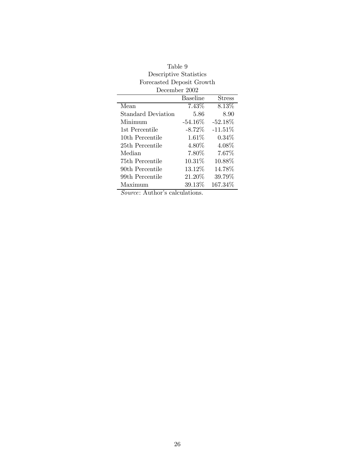| December 2002      |                 |           |
|--------------------|-----------------|-----------|
|                    | <b>Baseline</b> | Stress    |
| Mean               | $7.43\%$        | 8.13%     |
| Standard Deviation | 5.86            | 8.90      |
| Minimum            | $-54.16\%$      | $-52.18%$ |
| 1st Percentile     | $-8.72\%$       | $-11.51%$ |
| 10th Percentile    | 1.61%           | $0.34\%$  |
| 25th Percentile    | $4.80\%$        | 4.08%     |
| Median             | $7.80\%$        | 7.67\%    |
| 75th Percentile    | 10.31%          | 10.88%    |
| 90th Percentile    | $13.12\%$       | 14.78%    |
| 99th Percentile    | $21.20\%$       | 39.79%    |
| Maximum            | 39.13\%         | 167.34\%  |

| Table 9                   |
|---------------------------|
| Descriptive Statistics    |
| Forecasted Deposit Growth |
| December 2002             |

Source: Author's calculations.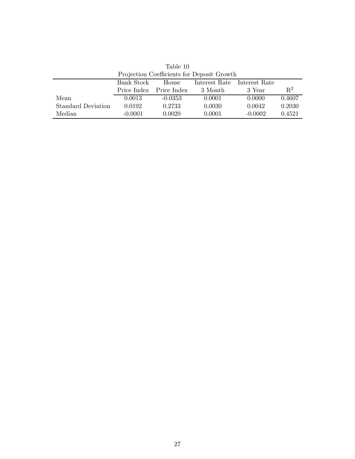| <b>Frojection Coefficients for Deposit Growth</b> |            |                                      |         |           |        |  |
|---------------------------------------------------|------------|--------------------------------------|---------|-----------|--------|--|
|                                                   | Bank Stock | House<br>Interest Rate Interest Rate |         |           |        |  |
|                                                   |            | Price Index Price Index              | 3 Month | 3 Year    | $R^2$  |  |
| Mean                                              | 0.0013     | $-0.0353$                            | 0.0001  | 0.0000    | 0.4607 |  |
| <b>Standard Deviation</b>                         | 0.0192     | 0.2733                               | 0.0030  | 0.0042    | 0.2030 |  |
| Median                                            | $-0.0001$  | 0.0020                               | 0.0001  | $-0.0002$ | 0.4521 |  |

Table 10 Projection Coefficients for Deposit Growth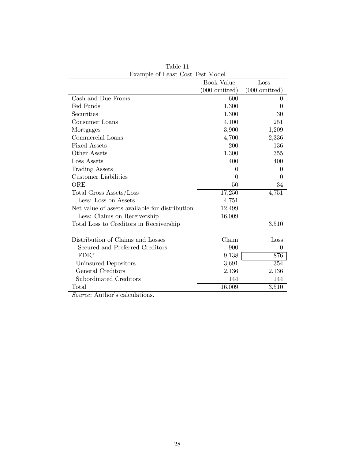| <b>EXAMPLE OF LOGIST CODE TODE INFORMA</b>     | <b>Book Value</b>       | Loss                    |
|------------------------------------------------|-------------------------|-------------------------|
|                                                | $(000 \text{ omitted})$ | $(000 \text{ omitted})$ |
| Cash and Due Froms                             | 600                     | $\Omega$                |
| Fed Funds                                      | 1,300                   | $\mathbf{0}$            |
| Securities                                     | 1,300                   | 30                      |
| Consumer Loans                                 | 4,100                   | 251                     |
| Mortgages                                      | 3,900                   | 1,209                   |
| Commercial Loans                               | 4,700                   | 2,336                   |
| <b>Fixed Assets</b>                            | 200                     | 136                     |
| Other Assets                                   | 1,300                   | 355                     |
| Loss Assets                                    | 400                     | 400                     |
| <b>Trading Assets</b>                          | $\theta$                | $\Omega$                |
| Customer Liabilities                           | $\Omega$                | $\left( \right)$        |
| ORE                                            | 50                      | 34                      |
| Total Gross Assets/Loss                        | 17,250                  | 4,751                   |
| Less: Loss on Assets                           | 4,751                   |                         |
| Net value of assets available for distribution | 12,499                  |                         |
| Less: Claims on Receivership                   | 16,009                  |                         |
| Total Loss to Creditors in Receivership        |                         | 3,510                   |
|                                                |                         |                         |
| Distribution of Claims and Losses              | Claim                   | Loss                    |
| Secured and Preferred Creditors                | 900                     | $\theta$                |
| <b>FDIC</b>                                    | 9,138                   | 876                     |
| Uninsured Depositors                           | 3,691                   | 354                     |
| General Creditors                              | 2,136                   | 2,136                   |
| Subordinated Creditors                         | 144                     | 144                     |
| Total                                          | 16,009                  | 3,510                   |

Table 11 Example of Least Cost Test Model

Source: Author's calculations.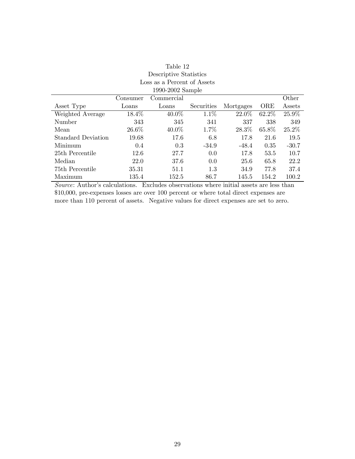| 1990-2002 Sample          |          |            |            |           |       |          |
|---------------------------|----------|------------|------------|-----------|-------|----------|
|                           | Consumer | Commercial |            |           |       | Other    |
| Asset Type                | Loans    | Loans      | Securities | Mortgages | ORE   | Assets   |
| Weighted Average          | 18.4%    | $40.0\%$   | 1.1%       | 22.0%     | 62.2% | 25.9%    |
| Number                    | 343      | 345        | 341        | 337       | 338   | 349      |
| Mean                      | 26.6%    | $40.0\%$   | $1.7\%$    | 28.3%     | 65.8% | $25.2\%$ |
| <b>Standard Deviation</b> | 19.68    | 17.6       | 6.8        | 17.8      | 21.6  | 19.5     |
| Minimum                   | 0.4      | 0.3        | $-34.9$    | $-48.4$   | 0.35  | $-30.7$  |
| 25th Percentile           | 12.6     | 27.7       | 0.0        | 17.8      | 53.5  | 10.7     |
| Median                    | 22.0     | 37.6       | 0.0        | 25.6      | 65.8  | 22.2     |
| 75th Percentile           | 35.31    | 51.1       | 1.3        | 34.9      | 77.8  | 37.4     |
| Maximum                   | 135.4    | 152.5      | 86.7       | 145.5     | 154.2 | 100.2    |

# Table 12 Descriptive Statistics Loss as a Percent of Assets

Source: Author's calculations. Excludes observations where initial assets are less than \$10,000, pre-expenses losses are over 100 percent or where total direct expenses are more than 110 percent of assets. Negative values for direct expenses are set to zero.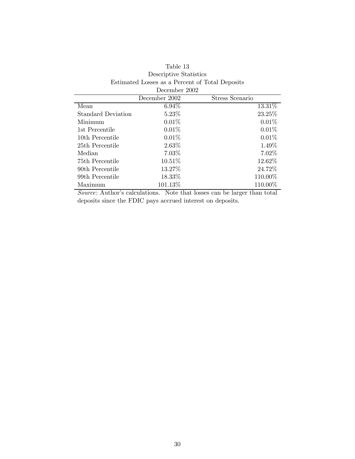| December 2002             |               |                 |  |  |
|---------------------------|---------------|-----------------|--|--|
|                           | December 2002 | Stress Scenario |  |  |
| Mean                      | $6.94\%$      | $13.31\%$       |  |  |
| <b>Standard Deviation</b> | $5.23\%$      | 23.25%          |  |  |
| Minimum                   | $0.01\%$      | $0.01\%$        |  |  |
| 1st Percentile            | 0.01%         | $0.01\%$        |  |  |
| 10th Percentile           | $0.01\%$      | 0.01%           |  |  |
| 25th Percentile           | $2.63\%$      | $1.49\%$        |  |  |
| Median                    | $7.03\%$      | 7.02%           |  |  |
| 75th Percentile           | $10.51\%$     | 12.62%          |  |  |
| 90th Percentile           | 13.27%        | 24.72\%         |  |  |
| 99th Percentile           | 18.33%        | 110.00%         |  |  |
| Maximum                   | 101.13\%      | 110.00%         |  |  |

## Table 13 Descriptive Statistics Estimated Losses as a Percent of Total Deposits

Source: Author's calculations. Note that losses can be larger than total deposits since the FDIC pays accrued interest on deposits.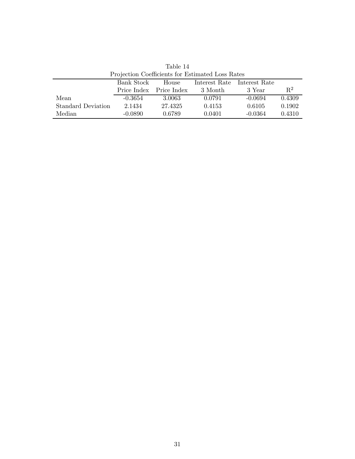|                           | Trolection Coemetents for Estimated Eoss reates |                         |         |                             |        |
|---------------------------|-------------------------------------------------|-------------------------|---------|-----------------------------|--------|
|                           | Bank Stock                                      | House                   |         | Interest Rate Interest Rate |        |
|                           |                                                 | Price Index Price Index | 3 Month | 3 Year                      | $R^2$  |
| Mean                      | $-0.3654$                                       | 3.0063                  | 0.0791  | $-0.0694$                   | 0.4309 |
| <b>Standard Deviation</b> | 2.1434                                          | 27.4325                 | 0.4153  | 0.6105                      | 0.1902 |
| Median                    | $-0.0890$                                       | 0.6789                  | 0.0401  | $-0.0364$                   | 0.4310 |

Table 14 Projection Coefficients for Estimated Loss Rates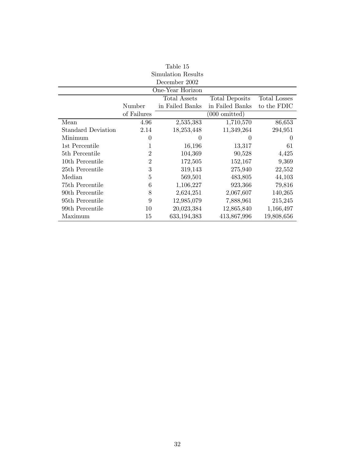| Table 15                                              |                |                  |                         |             |  |  |
|-------------------------------------------------------|----------------|------------------|-------------------------|-------------|--|--|
| Simulation Results                                    |                |                  |                         |             |  |  |
| December 2002                                         |                |                  |                         |             |  |  |
|                                                       |                | One-Year Horizon |                         |             |  |  |
| Total Assets<br>Total Losses<br><b>Total Deposits</b> |                |                  |                         |             |  |  |
|                                                       | Number         | in Failed Banks  | in Failed Banks         | to the FDIC |  |  |
|                                                       | of Failures    |                  | $(000 \text{ omitted})$ |             |  |  |
| Mean                                                  | 4.96           | 2,535,383        | 1,710,570               | 86,653      |  |  |
| <b>Standard Deviation</b>                             | 2.14           | 18,253,448       | 11,349,264              | 294,951     |  |  |
| Minimum                                               | $\theta$       | $\theta$         | 0                       | $\theta$    |  |  |
| 1st Percentile                                        | 1              | 16,196           | 13,317                  | 61          |  |  |
| 5th Percentile                                        | $\overline{2}$ | 104,369          | 90,528                  | 4,425       |  |  |
| 10th Percentile                                       | $\overline{2}$ | 172,505          | 152,167                 | 9,369       |  |  |
| 25th Percentile                                       | 3              | 319,143          | 275,940                 | 22,552      |  |  |
| Median                                                | 5              | 569,501          | 483,805                 | 44,103      |  |  |
| 75th Percentile                                       | 6              | 1,106,227        | 923,366                 | 79,816      |  |  |
| 90th Percentile                                       | 8              | 2,624,251        | 2,067,607               | 140,265     |  |  |
| 95th Percentile                                       | 9              | 12,985,079       | 7,888,961               | 215,245     |  |  |
| 99th Percentile                                       | 10             | 20,023,384       | 12,865,840              | 1,166,497   |  |  |
| Maximum                                               | 15             | 633,194,383      | 413,867,996             | 19,808,656  |  |  |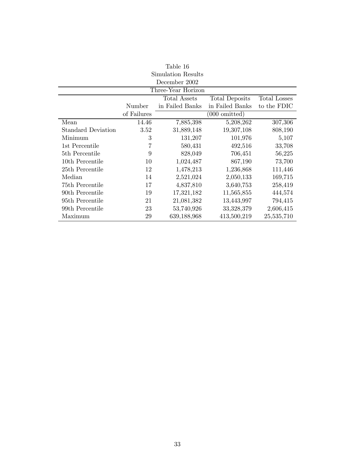| Table 16                                                            |             |                    |                         |             |  |
|---------------------------------------------------------------------|-------------|--------------------|-------------------------|-------------|--|
| Simulation Results                                                  |             |                    |                         |             |  |
| December 2002                                                       |             |                    |                         |             |  |
|                                                                     |             | Three-Year Horizon |                         |             |  |
| <b>Total Assets</b><br><b>Total Losses</b><br><b>Total Deposits</b> |             |                    |                         |             |  |
|                                                                     | Number      | in Failed Banks    | in Failed Banks         | to the FDIC |  |
|                                                                     | of Failures |                    | $(000 \text{ omitted})$ |             |  |
| Mean                                                                | 14.46       | 7,885,398          | 5,208,262               | 307,306     |  |
| <b>Standard Deviation</b>                                           | 3.52        | 31,889,148         | 19,307,108              | 808,190     |  |
| Minimum                                                             | 3           | 131,207            | 101,976                 | 5,107       |  |
| 1st Percentile                                                      | 7           | 580,431            | 492,516                 | 33,708      |  |
| 5th Percentile                                                      | 9           | 828,049            | 706,451                 | 56,225      |  |
| 10th Percentile                                                     | 10          | 1,024,487          | 867,190                 | 73,700      |  |
| 25th Percentile                                                     | 12          | 1,478,213          | 1,236,868               | 111,446     |  |
| Median                                                              | 14          | 2,521,024          | 2,050,133               | 169,715     |  |
| 75th Percentile                                                     | 17          | 4,837,810          | 3,640,753               | 258,419     |  |
| 90th Percentile                                                     | 19          | 17,321,182         | 11,565,855              | 444,574     |  |
| 95th Percentile                                                     | 21          | 21,081,382         | 13,443,997              | 794,415     |  |
| 99th Percentile                                                     | 23          | 53,740,926         | 33,328,379              | 2,606,415   |  |
| Maximum                                                             | 29          | 639,188,968        | 413,500,219             | 25,535,710  |  |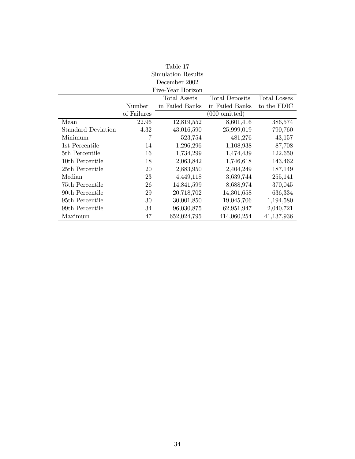| Table 17                  |             |                   |                         |                     |  |
|---------------------------|-------------|-------------------|-------------------------|---------------------|--|
| Simulation Results        |             |                   |                         |                     |  |
| December 2002             |             |                   |                         |                     |  |
|                           |             | Five-Year Horizon |                         |                     |  |
|                           |             | Total Assets      | <b>Total Deposits</b>   | <b>Total Losses</b> |  |
|                           | Number      | in Failed Banks   | in Failed Banks         | to the FDIC         |  |
|                           | of Failures |                   | $(000 \text{ omitted})$ |                     |  |
| Mean                      | 22.96       | 12,819,552        | 8,601,416               | 386,574             |  |
| <b>Standard Deviation</b> | 4.32        | 43,016,590        | 25,999,019              | 790,760             |  |
| Minimum                   | 7           | 523,754           | 481,276                 | 43,157              |  |
| 1st Percentile            | 14          | 1,296,296         | 1,108,938               | 87,708              |  |
| 5th Percentile            | 16          | 1,734,299         | 1,474,439               | 122,650             |  |
| 10th Percentile           | 18          | 2,063,842         | 1,746,618               | 143,462             |  |
| 25th Percentile           | 20          | 2,883,950         | 2,404,249               | 187,149             |  |
| Median                    | 23          | 4,449,118         | 3,639,744               | 255,141             |  |
| 75th Percentile           | 26          | 14,841,599        | 8,688,974               | 370,045             |  |
| 90th Percentile           | 29          | 20,718,702        | 14,301,658              | 636,334             |  |
| 95th Percentile           | 30          | 30,001,850        | 19,045,706              | 1,194,580           |  |
| 99th Percentile           | 34          | 96,030,875        | 62,951,947              | 2,040,721           |  |
| Maximum                   | 47          | 652,024,795       | 414,060,254             | 41,137,936          |  |